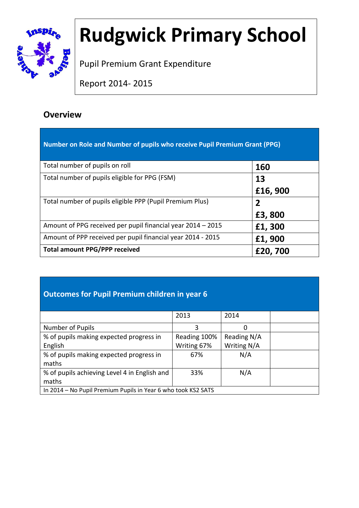

# **Rudgwick Primary School**

Pupil Premium Grant Expenditure

Report 2014- 2015

### **Overview**

| Number on Role and Number of pupils who receive Pupil Premium Grant (PPG) |         |
|---------------------------------------------------------------------------|---------|
| Total number of pupils on roll                                            | 160     |
| Total number of pupils eligible for PPG (FSM)                             | 13      |
|                                                                           | £16,900 |
| Total number of pupils eligible PPP (Pupil Premium Plus)                  | 2       |
|                                                                           | £3,800  |
| Amount of PPG received per pupil financial year 2014 – 2015               | £1,300  |
| Amount of PPP received per pupil financial year 2014 - 2015               | £1,900  |
| <b>Total amount PPG/PPP received</b>                                      | £20,700 |

#### **Outcomes for Pupil Premium children in year 6**

|                                                               | 2013         | 2014        |  |
|---------------------------------------------------------------|--------------|-------------|--|
|                                                               |              |             |  |
| Number of Pupils                                              | 3            |             |  |
| % of pupils making expected progress in                       | Reading 100% | Reading N/A |  |
| English                                                       | Writing 67%  | Writing N/A |  |
| % of pupils making expected progress in                       | 67%          | N/A         |  |
| maths                                                         |              |             |  |
| % of pupils achieving Level 4 in English and                  | 33%          | N/A         |  |
| maths                                                         |              |             |  |
| In 2014 - No Pupil Premium Pupils in Year 6 who took KS2 SATS |              |             |  |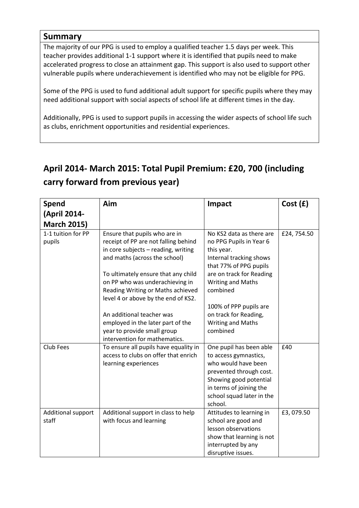#### **Summary**

The majority of our PPG is used to employ a qualified teacher 1.5 days per week. This teacher provides additional 1-1 support where it is identified that pupils need to make accelerated progress to close an attainment gap. This support is also used to support other vulnerable pupils where underachievement is identified who may not be eligible for PPG.

Some of the PPG is used to fund additional adult support for specific pupils where they may need additional support with social aspects of school life at different times in the day.

Additionally, PPG is used to support pupils in accessing the wider aspects of school life such as clubs, enrichment opportunities and residential experiences.

## **April 2014- March 2015: Total Pupil Premium: £20, 700 (including carry forward from previous year)**

| <b>Spend</b>       | Aim                                   | Impact                                               | Cost(f)    |
|--------------------|---------------------------------------|------------------------------------------------------|------------|
| (April 2014-       |                                       |                                                      |            |
| <b>March 2015)</b> |                                       |                                                      |            |
| 1-1 tuition for PP | Ensure that pupils who are in         | No KS2 data as there are                             | £24,754.50 |
| pupils             | receipt of PP are not falling behind  | no PPG Pupils in Year 6                              |            |
|                    | in core subjects - reading, writing   | this year.                                           |            |
|                    | and maths (across the school)         | Internal tracking shows                              |            |
|                    | To ultimately ensure that any child   | that 77% of PPG pupils<br>are on track for Reading   |            |
|                    | on PP who was underachieving in       | <b>Writing and Maths</b>                             |            |
|                    | Reading Writing or Maths achieved     | combined                                             |            |
|                    | level 4 or above by the end of KS2.   |                                                      |            |
|                    |                                       | 100% of PPP pupils are                               |            |
|                    | An additional teacher was             | on track for Reading,                                |            |
|                    | employed in the later part of the     | <b>Writing and Maths</b>                             |            |
|                    | year to provide small group           | combined                                             |            |
|                    | intervention for mathematics.         |                                                      |            |
| <b>Club Fees</b>   | To ensure all pupils have equality in | One pupil has been able                              | £40        |
|                    | access to clubs on offer that enrich  | to access gymnastics,                                |            |
|                    | learning experiences                  | who would have been                                  |            |
|                    |                                       | prevented through cost.                              |            |
|                    |                                       | Showing good potential                               |            |
|                    |                                       | in terms of joining the<br>school squad later in the |            |
|                    |                                       | school.                                              |            |
| Additional support | Additional support in class to help   | Attitudes to learning in                             | £3,079.50  |
| staff              | with focus and learning               | school are good and                                  |            |
|                    |                                       | lesson observations                                  |            |
|                    |                                       | show that learning is not                            |            |
|                    |                                       | interrupted by any                                   |            |
|                    |                                       | disruptive issues.                                   |            |